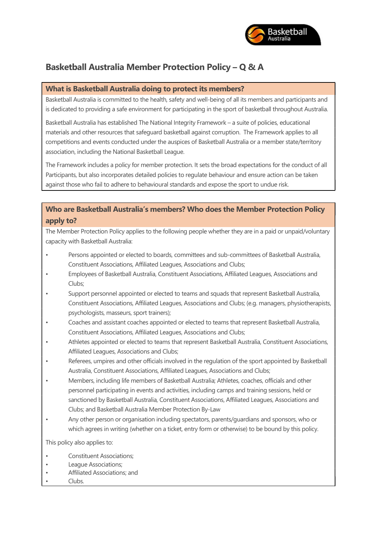

# Basketball Australia Member Protection Policy – Q & A

## What is Basketball Australia doing to protect its members?

Basketball Australia is committed to the health, safety and well-being of all its members and participants and is dedicated to providing a safe environment for participating in the sport of basketball throughout Australia.

Basketball Australia has established The National Integrity Framework – a suite of policies, educational materials and other resources that safeguard basketball against corruption. The Framework applies to all competitions and events conducted under the auspices of Basketball Australia or a member state/territory association, including the National Basketball League.

The Framework includes a policy for member protection. It sets the broad expectations for the conduct of all Participants, but also incorporates detailed policies to regulate behaviour and ensure action can be taken against those who fail to adhere to behavioural standards and expose the sport to undue risk.

## Who are Basketball Australia's members? Who does the Member Protection Policy apply to?

The Member Protection Policy applies to the following people whether they are in a paid or unpaid/voluntary capacity with Basketball Australia:

- Persons appointed or elected to boards, committees and sub-committees of Basketball Australia, Constituent Associations, Affiliated Leagues, Associations and Clubs;
- Employees of Basketball Australia, Constituent Associations, Affiliated Leagues, Associations and Clubs;
- Support personnel appointed or elected to teams and squads that represent Basketball Australia, Constituent Associations, Affiliated Leagues, Associations and Clubs; (e.g. managers, physiotherapists, psychologists, masseurs, sport trainers);
- Coaches and assistant coaches appointed or elected to teams that represent Basketball Australia, Constituent Associations, Affiliated Leagues, Associations and Clubs;
- Athletes appointed or elected to teams that represent Basketball Australia, Constituent Associations, Affiliated Leagues, Associations and Clubs;
- Referees, umpires and other officials involved in the regulation of the sport appointed by Basketball Australia, Constituent Associations, Affiliated Leagues, Associations and Clubs;
- Members, including life members of Basketball Australia; Athletes, coaches, officials and other personnel participating in events and activities, including camps and training sessions, held or sanctioned by Basketball Australia, Constituent Associations, Affiliated Leagues, Associations and Clubs; and Basketball Australia Member Protection By-Law
- Any other person or organisation including spectators, parents/guardians and sponsors, who or which agrees in writing (whether on a ticket, entry form or otherwise) to be bound by this policy.

This policy also applies to:

- Constituent Associations;
- League Associations;
- Affiliated Associations; and
- Clubs.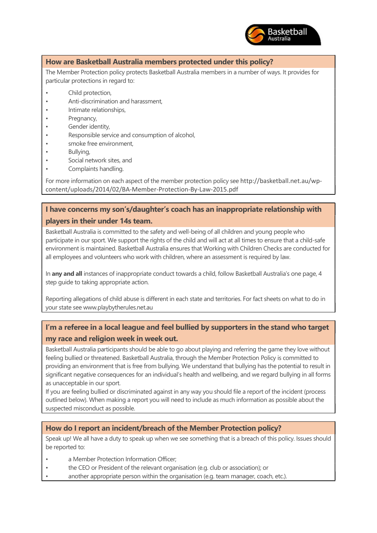

## How are Basketball Australia members protected under this policy?

The Member Protection policy protects Basketball Australia members in a number of ways. It provides for particular protections in regard to:

- Child protection,
- Anti-discrimination and harassment,
- Intimate relationships,
- Pregnancy,
- Gender identity,
- Responsible service and consumption of alcohol,
- smoke free environment.
- Bullying,
- Social network sites, and
- Complaints handling.

For more information on each aspect of the member protection policy see http://basketball.net.au/wpcontent/uploads/2014/02/BA-Member-Protection-By-Law-2015.pdf

## I have concerns my son's/daughter's coach has an inappropriate relationship with players in their under 14s team.

Basketball Australia is committed to the safety and well-being of all children and young people who participate in our sport. We support the rights of the child and will act at all times to ensure that a child-safe environment is maintained. Basketball Australia ensures that Working with Children Checks are conducted for all employees and volunteers who work with children, where an assessment is required by law.

In any and all instances of inappropriate conduct towards a child, follow Basketball Australia's one page, 4 step guide to taking appropriate action.

Reporting allegations of child abuse is different in each state and territories. For fact sheets on what to do in your state see www.playbytherules.net.au

## I'm a referee in a local league and feel bullied by supporters in the stand who target my race and religion week in week out.

Basketball Australia participants should be able to go about playing and referring the game they love without feeling bullied or threatened. Basketball Australia, through the Member Protection Policy is committed to providing an environment that is free from bullying. We understand that bullying has the potential to result in significant negative consequences for an individual's health and wellbeing, and we regard bullying in all forms as unacceptable in our sport.

If you are feeling bullied or discriminated against in any way you should file a report of the incident (process outlined below). When making a report you will need to include as much information as possible about the suspected misconduct as possible.

#### How do I report an incident/breach of the Member Protection policy?

Speak up! We all have a duty to speak up when we see something that is a breach of this policy. Issues should be reported to:

- a Member Protection Information Officer:
- the CEO or President of the relevant organisation (e.g. club or association); or
- another appropriate person within the organisation (e.g. team manager, coach, etc.).